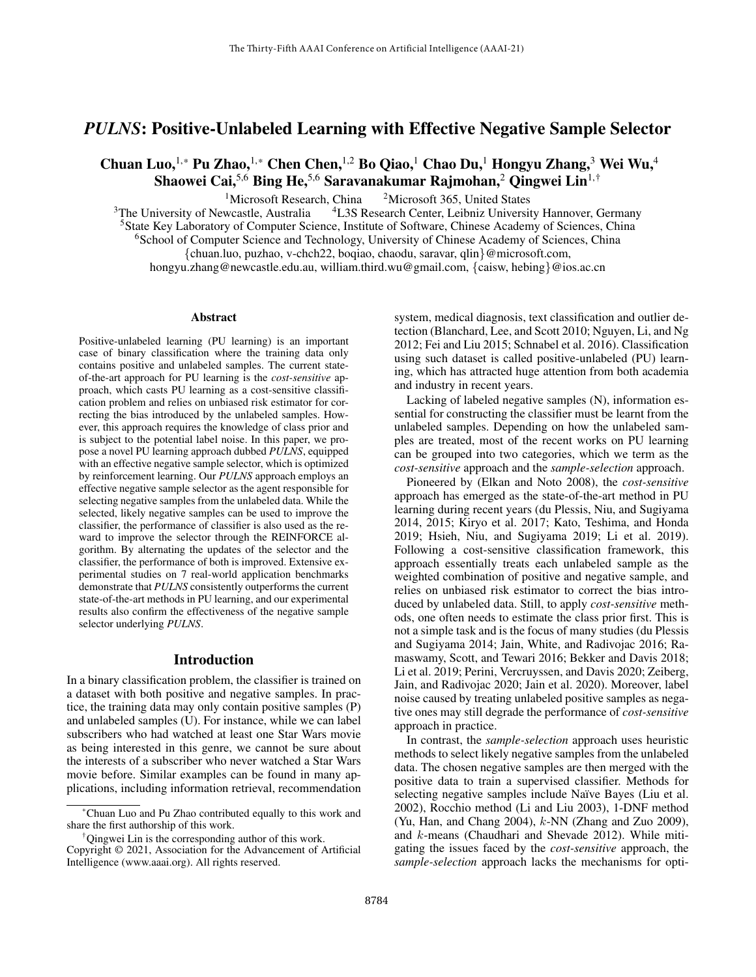# *PULNS*: Positive-Unlabeled Learning with Effective Negative Sample Selector

Chuan Luo, <sup>1,\*</sup> Pu Zhao, <sup>1,\*</sup> Chen Chen, <sup>1,2</sup> Bo Qiao, <sup>1</sup> Chao Du, <sup>1</sup> Hongyu Zhang, <sup>3</sup> Wei Wu, <sup>4</sup> Shaowei Cai,<sup>5,6</sup> Bing He,<sup>5,6</sup> Saravanakumar Rajmohan,<sup>2</sup> Qingwei Lin<sup>1,†</sup>

<sup>1</sup>Microsoft Research, China <sup>2</sup>Microsoft 365, United States<br><sup>3</sup>The University of Newcastle, Australia <sup>4</sup>L3S Research Center, Leibniz Universit <sup>4</sup>L3S Research Center, Leibniz University Hannover, Germany <sup>5</sup>State Key Laboratory of Computer Science, Institute of Software, Chinese Academy of Sciences, China <sup>6</sup>School of Computer Science and Technology, University of Chinese Academy of Sciences, China {chuan.luo, puzhao, v-chch22, boqiao, chaodu, saravar, qlin}@microsoft.com, hongyu.zhang@newcastle.edu.au, william.third.wu@gmail.com, {caisw, hebing}@ios.ac.cn

#### Abstract

Positive-unlabeled learning (PU learning) is an important case of binary classification where the training data only contains positive and unlabeled samples. The current stateof-the-art approach for PU learning is the *cost-sensitive* approach, which casts PU learning as a cost-sensitive classification problem and relies on unbiased risk estimator for correcting the bias introduced by the unlabeled samples. However, this approach requires the knowledge of class prior and is subject to the potential label noise. In this paper, we propose a novel PU learning approach dubbed *PULNS*, equipped with an effective negative sample selector, which is optimized by reinforcement learning. Our *PULNS* approach employs an effective negative sample selector as the agent responsible for selecting negative samples from the unlabeled data. While the selected, likely negative samples can be used to improve the classifier, the performance of classifier is also used as the reward to improve the selector through the REINFORCE algorithm. By alternating the updates of the selector and the classifier, the performance of both is improved. Extensive experimental studies on 7 real-world application benchmarks demonstrate that *PULNS* consistently outperforms the current state-of-the-art methods in PU learning, and our experimental results also confirm the effectiveness of the negative sample selector underlying *PULNS*.

#### Introduction

In a binary classification problem, the classifier is trained on a dataset with both positive and negative samples. In practice, the training data may only contain positive samples (P) and unlabeled samples (U). For instance, while we can label subscribers who had watched at least one Star Wars movie as being interested in this genre, we cannot be sure about the interests of a subscriber who never watched a Star Wars movie before. Similar examples can be found in many applications, including information retrieval, recommendation

system, medical diagnosis, text classification and outlier detection (Blanchard, Lee, and Scott 2010; Nguyen, Li, and Ng 2012; Fei and Liu 2015; Schnabel et al. 2016). Classification using such dataset is called positive-unlabeled (PU) learning, which has attracted huge attention from both academia and industry in recent years.

Lacking of labeled negative samples (N), information essential for constructing the classifier must be learnt from the unlabeled samples. Depending on how the unlabeled samples are treated, most of the recent works on PU learning can be grouped into two categories, which we term as the *cost-sensitive* approach and the *sample-selection* approach.

Pioneered by (Elkan and Noto 2008), the *cost-sensitive* approach has emerged as the state-of-the-art method in PU learning during recent years (du Plessis, Niu, and Sugiyama 2014, 2015; Kiryo et al. 2017; Kato, Teshima, and Honda 2019; Hsieh, Niu, and Sugiyama 2019; Li et al. 2019). Following a cost-sensitive classification framework, this approach essentially treats each unlabeled sample as the weighted combination of positive and negative sample, and relies on unbiased risk estimator to correct the bias introduced by unlabeled data. Still, to apply *cost-sensitive* methods, one often needs to estimate the class prior first. This is not a simple task and is the focus of many studies (du Plessis and Sugiyama 2014; Jain, White, and Radivojac 2016; Ramaswamy, Scott, and Tewari 2016; Bekker and Davis 2018; Li et al. 2019; Perini, Vercruyssen, and Davis 2020; Zeiberg, Jain, and Radivojac 2020; Jain et al. 2020). Moreover, label noise caused by treating unlabeled positive samples as negative ones may still degrade the performance of *cost-sensitive* approach in practice.

In contrast, the *sample-selection* approach uses heuristic methods to select likely negative samples from the unlabeled data. The chosen negative samples are then merged with the positive data to train a supervised classifier. Methods for selecting negative samples include Naïve Bayes (Liu et al. 2002), Rocchio method (Li and Liu 2003), 1-DNF method (Yu, Han, and Chang 2004), k-NN (Zhang and Zuo 2009), and k-means (Chaudhari and Shevade 2012). While mitigating the issues faced by the *cost-sensitive* approach, the *sample-selection* approach lacks the mechanisms for opti-

<sup>\*</sup>Chuan Luo and Pu Zhao contributed equally to this work and share the first authorship of this work.

<sup>†</sup>Qingwei Lin is the corresponding author of this work.

Copyright © 2021, Association for the Advancement of Artificial Intelligence (www.aaai.org). All rights reserved.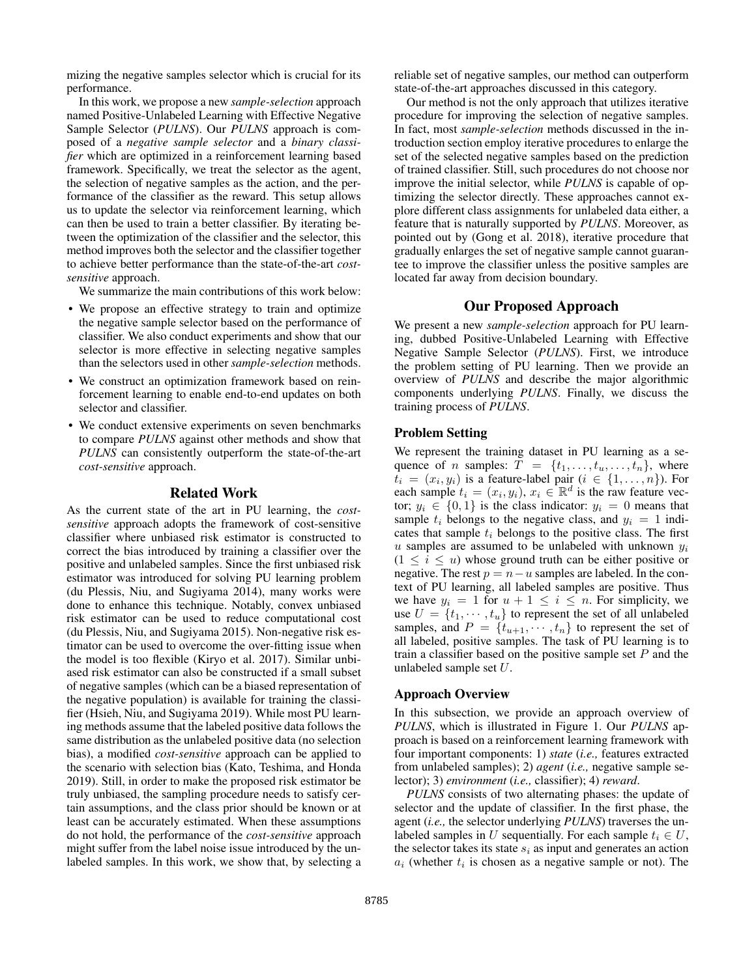mizing the negative samples selector which is crucial for its performance.

In this work, we propose a new *sample-selection* approach named Positive-Unlabeled Learning with Effective Negative Sample Selector (*PULNS*). Our *PULNS* approach is composed of a *negative sample selector* and a *binary classifier* which are optimized in a reinforcement learning based framework. Specifically, we treat the selector as the agent, the selection of negative samples as the action, and the performance of the classifier as the reward. This setup allows us to update the selector via reinforcement learning, which can then be used to train a better classifier. By iterating between the optimization of the classifier and the selector, this method improves both the selector and the classifier together to achieve better performance than the state-of-the-art *costsensitive* approach.

We summarize the main contributions of this work below:

- We propose an effective strategy to train and optimize the negative sample selector based on the performance of classifier. We also conduct experiments and show that our selector is more effective in selecting negative samples than the selectors used in other *sample-selection* methods.
- We construct an optimization framework based on reinforcement learning to enable end-to-end updates on both selector and classifier.
- We conduct extensive experiments on seven benchmarks to compare *PULNS* against other methods and show that *PULNS* can consistently outperform the state-of-the-art *cost-sensitive* approach.

## Related Work

As the current state of the art in PU learning, the *costsensitive* approach adopts the framework of cost-sensitive classifier where unbiased risk estimator is constructed to correct the bias introduced by training a classifier over the positive and unlabeled samples. Since the first unbiased risk estimator was introduced for solving PU learning problem (du Plessis, Niu, and Sugiyama 2014), many works were done to enhance this technique. Notably, convex unbiased risk estimator can be used to reduce computational cost (du Plessis, Niu, and Sugiyama 2015). Non-negative risk estimator can be used to overcome the over-fitting issue when the model is too flexible (Kiryo et al. 2017). Similar unbiased risk estimator can also be constructed if a small subset of negative samples (which can be a biased representation of the negative population) is available for training the classifier (Hsieh, Niu, and Sugiyama 2019). While most PU learning methods assume that the labeled positive data follows the same distribution as the unlabeled positive data (no selection bias), a modified *cost-sensitive* approach can be applied to the scenario with selection bias (Kato, Teshima, and Honda 2019). Still, in order to make the proposed risk estimator be truly unbiased, the sampling procedure needs to satisfy certain assumptions, and the class prior should be known or at least can be accurately estimated. When these assumptions do not hold, the performance of the *cost-sensitive* approach might suffer from the label noise issue introduced by the unlabeled samples. In this work, we show that, by selecting a

reliable set of negative samples, our method can outperform state-of-the-art approaches discussed in this category.

Our method is not the only approach that utilizes iterative procedure for improving the selection of negative samples. In fact, most *sample-selection* methods discussed in the introduction section employ iterative procedures to enlarge the set of the selected negative samples based on the prediction of trained classifier. Still, such procedures do not choose nor improve the initial selector, while *PULNS* is capable of optimizing the selector directly. These approaches cannot explore different class assignments for unlabeled data either, a feature that is naturally supported by *PULNS*. Moreover, as pointed out by (Gong et al. 2018), iterative procedure that gradually enlarges the set of negative sample cannot guarantee to improve the classifier unless the positive samples are located far away from decision boundary.

## Our Proposed Approach

We present a new *sample-selection* approach for PU learning, dubbed Positive-Unlabeled Learning with Effective Negative Sample Selector (*PULNS*). First, we introduce the problem setting of PU learning. Then we provide an overview of *PULNS* and describe the major algorithmic components underlying *PULNS*. Finally, we discuss the training process of *PULNS*.

# Problem Setting

We represent the training dataset in PU learning as a sequence of *n* samples:  $T = \{t_1, \ldots, t_u, \ldots, t_n\}$ , where  $t_i = (x_i, y_i)$  is a feature-label pair  $(i \in \{1, ..., n\})$ . For each sample  $t_i = (x_i, y_i), x_i \in \mathbb{R}^d$  is the raw feature vector;  $y_i \in \{0,1\}$  is the class indicator:  $y_i = 0$  means that sample  $t_i$  belongs to the negative class, and  $y_i = 1$  indicates that sample  $t_i$  belongs to the positive class. The first u samples are assumed to be unlabeled with unknown  $y_i$  $(1 \leq i \leq u)$  whose ground truth can be either positive or negative. The rest  $p = n - u$  samples are labeled. In the context of PU learning, all labeled samples are positive. Thus we have  $y_i = 1$  for  $u + 1 \leq i \leq n$ . For simplicity, we use  $U = \{t_1, \dots, t_u\}$  to represent the set of all unlabeled samples, and  $P = \{t_{u+1}, \dots, t_n\}$  to represent the set of all labeled, positive samples. The task of PU learning is to train a classifier based on the positive sample set  $P$  and the unlabeled sample set U.

#### Approach Overview

In this subsection, we provide an approach overview of *PULNS*, which is illustrated in Figure 1. Our *PULNS* approach is based on a reinforcement learning framework with four important components: 1) *state* (*i.e.,* features extracted from unlabeled samples); 2) *agent* (*i.e.,* negative sample selector); 3) *environment* (*i.e.,* classifier); 4) *reward*.

*PULNS* consists of two alternating phases: the update of selector and the update of classifier. In the first phase, the agent (*i.e.,* the selector underlying *PULNS*) traverses the unlabeled samples in U sequentially. For each sample  $t_i \in U$ , the selector takes its state  $s_i$  as input and generates an action  $a_i$  (whether  $t_i$  is chosen as a negative sample or not). The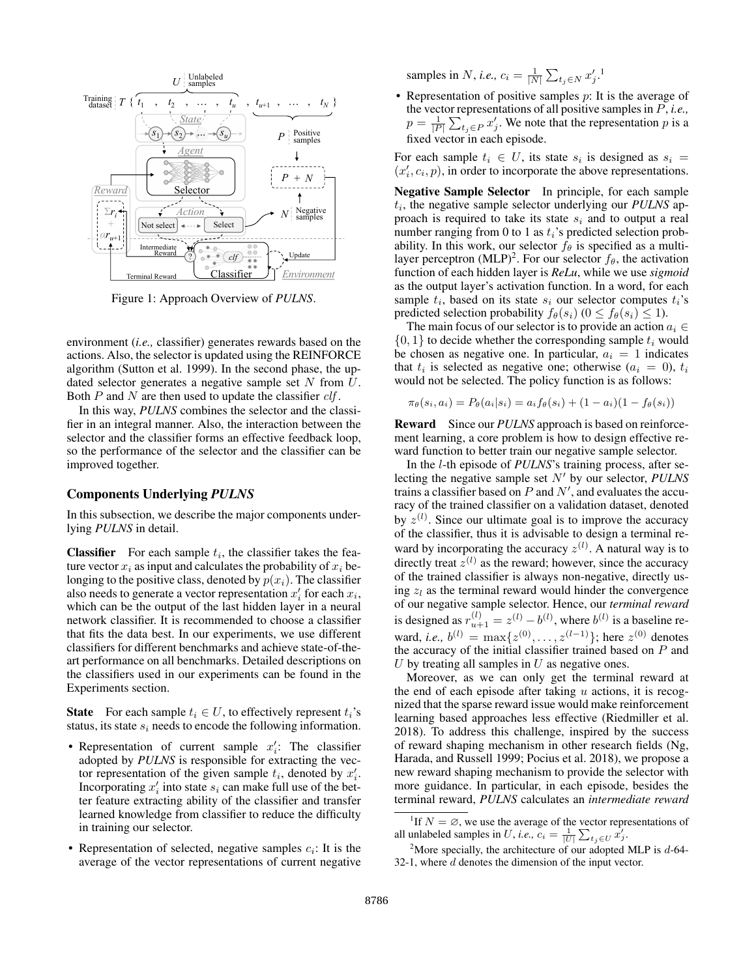

Figure 1: Approach Overview of *PULNS*.

environment (*i.e.,* classifier) generates rewards based on the actions. Also, the selector is updated using the REINFORCE algorithm (Sutton et al. 1999). In the second phase, the updated selector generates a negative sample set  $N$  from  $U$ . Both  $P$  and  $N$  are then used to update the classifier  $\mathit{clf}$ .

In this way, *PULNS* combines the selector and the classifier in an integral manner. Also, the interaction between the selector and the classifier forms an effective feedback loop, so the performance of the selector and the classifier can be improved together.

#### Components Underlying *PULNS*

In this subsection, we describe the major components underlying *PULNS* in detail.

**Classifier** For each sample  $t_i$ , the classifier takes the feature vector  $x_i$  as input and calculates the probability of  $x_i$  belonging to the positive class, denoted by  $p(x_i)$ . The classifier also needs to generate a vector representation  $x_i'$  for each  $x_i$ , which can be the output of the last hidden layer in a neural network classifier. It is recommended to choose a classifier that fits the data best. In our experiments, we use different classifiers for different benchmarks and achieve state-of-theart performance on all benchmarks. Detailed descriptions on the classifiers used in our experiments can be found in the Experiments section.

**State** For each sample  $t_i \in U$ , to effectively represent  $t_i$ 's status, its state  $s_i$  needs to encode the following information.

- Representation of current sample  $x_i$ : The classifier adopted by *PULNS* is responsible for extracting the vector representation of the given sample  $t_i$ , denoted by  $x'_i$ . Incorporating  $x'_i$  into state  $s_i$  can make full use of the better feature extracting ability of the classifier and transfer learned knowledge from classifier to reduce the difficulty in training our selector.
- Representation of selected, negative samples  $c_i$ : It is the average of the vector representations of current negative

samples in *N*, *i.e.*,  $c_i = \frac{1}{|N|} \sum_{t_j \in N} x'_j$ .<sup>1</sup>

 $t_1, t_2, t_3, t_{u+1}, t_1, t_N$ <br>the vector representations of all positive samples in P, *i.e.*,  $\{\overbrace{t_1, t_2, \ldots, t_n}^{\bullet}, t_{n+1}, \ldots, t_N\}$  Representation of positive samples p: It is the average of  $p = \frac{1}{|P|} \sum_{i,j \in P} x'_j$ . We note that the representation p is a fixed vector in each episode. fixed vector in each episode.

> $\overrightarrow{P}$  + N For each sample  $t_i \in U$ , its state  $s_i$  is designed as  $s_i =$

 $N_{\text{samples}}^{\text{key}}$  samples<br>proach is required to take its state  $s_i$  and to output a real 2)  $\text{U}_\theta$  (clf)  $\text{U}_\theta$  =  $\text{U}_\theta$  (MLP)<sup>2</sup>. For our selector  $f_\theta$ , the activation Negative Sample Selector In principle, for each sample  $t_i$ , the negative sample selector underlying our *PULNS* apnumber ranging from 0 to 1 as  $t_i$ 's predicted selection probability. In this work, our selector  $f_\theta$  is specified as a multifunction of each hidden layer is *ReLu*, while we use *sigmoid* as the output layer's activation function. In a word, for each sample  $t_i$ , based on its state  $s_i$  our selector computes  $t_i$ 's predicted selection probability  $f_{\theta}(s_i)$  ( $0 \leq f_{\theta}(s_i) \leq 1$ ).

> The main focus of our selector is to provide an action  $a_i \in$  $\{0, 1\}$  to decide whether the corresponding sample  $t_i$  would be chosen as negative one. In particular,  $a_i = 1$  indicates that  $t_i$  is selected as negative one; otherwise  $(a_i = 0), t_i$ would not be selected. The policy function is as follows:

$$
\pi_{\theta}(s_i, a_i) = P_{\theta}(a_i|s_i) = a_i f_{\theta}(s_i) + (1 - a_i)(1 - f_{\theta}(s_i))
$$

Reward Since our *PULNS* approach is based on reinforcement learning, a core problem is how to design effective reward function to better train our negative sample selector.

In the l-th episode of *PULNS*'s training process, after selecting the negative sample set  $N'$  by our selector, *PULNS* trains a classifier based on  $P$  and  $N'$ , and evaluates the accuracy of the trained classifier on a validation dataset, denoted by  $z^{(l)}$ . Since our ultimate goal is to improve the accuracy of the classifier, thus it is advisable to design a terminal reward by incorporating the accuracy  $z^{(l)}$ . A natural way is to directly treat  $z^{(l)}$  as the reward; however, since the accuracy of the trained classifier is always non-negative, directly using  $z_l$  as the terminal reward would hinder the convergence of our negative sample selector. Hence, our *terminal reward* is designed as  $r_{u+1}^{(l)} = z^{(l)} - b^{(l)}$ , where  $b^{(l)}$  is a baseline reward, *i.e.*,  $b^{(l)} = \max\{z^{(0)}, \ldots, z^{(l-1)}\}$ ; here  $z^{(0)}$  denotes the accuracy of the initial classifier trained based on  $P$  and  $U$  by treating all samples in  $U$  as negative ones.

Moreover, as we can only get the terminal reward at the end of each episode after taking  $u$  actions, it is recognized that the sparse reward issue would make reinforcement learning based approaches less effective (Riedmiller et al. 2018). To address this challenge, inspired by the success of reward shaping mechanism in other research fields (Ng, Harada, and Russell 1999; Pocius et al. 2018), we propose a new reward shaping mechanism to provide the selector with more guidance. In particular, in each episode, besides the terminal reward, *PULNS* calculates an *intermediate reward*

<sup>&</sup>lt;sup>1</sup>If  $N = \emptyset$ , we use the average of the vector representations of all unlabeled samples in U, *i.e.*,  $c_i = \frac{1}{|U|} \sum_{t_j \in U} \hat{x'_j}$ .

<sup>&</sup>lt;sup>2</sup>More specially, the architecture of our adopted MLP is  $d$ -64-32-1, where  $d$  denotes the dimension of the input vector.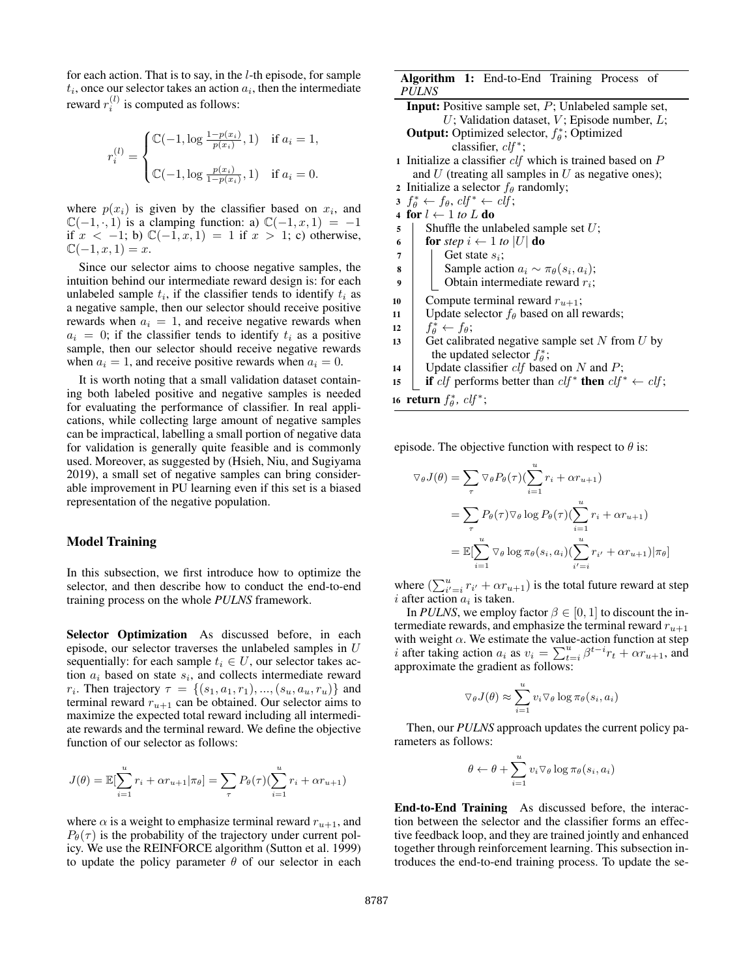for each action. That is to say, in the l-th episode, for sample  $t_i$ , once our selector takes an action  $a_i$ , then the intermediate reward  $r_i^{(l)}$  is computed as follows:

$$
r_i^{(l)} = \begin{cases} \mathbb{C}(-1, \log \frac{1 - p(x_i)}{p(x_i)}, 1) & \text{if } a_i = 1, \\ \\ \mathbb{C}(-1, \log \frac{p(x_i)}{1 - p(x_i)}, 1) & \text{if } a_i = 0. \end{cases}
$$

where  $p(x_i)$  is given by the classifier based on  $x_i$ , and  $\mathbb{C}(-1, 0, 1)$  is a clamping function: a)  $\mathbb{C}(-1, x, 1) = -1$ if  $x < -1$ ; b)  $\mathbb{C}(-1, x, 1) = 1$  if  $x > 1$ ; c) otherwise,  $\mathbb{C}(-1, x, 1) = x.$ 

Since our selector aims to choose negative samples, the intuition behind our intermediate reward design is: for each unlabeled sample  $t_i$ , if the classifier tends to identify  $t_i$  as a negative sample, then our selector should receive positive rewards when  $a_i = 1$ , and receive negative rewards when  $a_i = 0$ ; if the classifier tends to identify  $t_i$  as a positive sample, then our selector should receive negative rewards when  $a_i = 1$ , and receive positive rewards when  $a_i = 0$ .

It is worth noting that a small validation dataset containing both labeled positive and negative samples is needed for evaluating the performance of classifier. In real applications, while collecting large amount of negative samples can be impractical, labelling a small portion of negative data for validation is generally quite feasible and is commonly used. Moreover, as suggested by (Hsieh, Niu, and Sugiyama 2019), a small set of negative samples can bring considerable improvement in PU learning even if this set is a biased representation of the negative population.

# Model Training

In this subsection, we first introduce how to optimize the selector, and then describe how to conduct the end-to-end training process on the whole *PULNS* framework.

Selector Optimization As discussed before, in each episode, our selector traverses the unlabeled samples in U sequentially: for each sample  $t_i \in U$ , our selector takes action  $a_i$  based on state  $s_i$ , and collects intermediate reward *r<sub>i</sub>*. Then trajectory  $\tau = \{(s_1, a_1, r_1), ..., (s_u, a_u, r_u)\}\$ and terminal reward  $r_{u+1}$  can be obtained. Our selector aims to maximize the expected total reward including all intermediate rewards and the terminal reward. We define the objective function of our selector as follows:

$$
J(\theta) = \mathbb{E}[\sum_{i=1}^{u} r_i + \alpha r_{u+1} | \pi_{\theta}] = \sum_{\tau} P_{\theta}(\tau) (\sum_{i=1}^{u} r_i + \alpha r_{u+1})
$$

where  $\alpha$  is a weight to emphasize terminal reward  $r_{u+1}$ , and  $P_{\theta}(\tau)$  is the probability of the trajectory under current policy. We use the REINFORCE algorithm (Sutton et al. 1999) to update the policy parameter  $\theta$  of our selector in each

## Algorithm 1: End-to-End Training Process of *PULNS*

- Input: Positive sample set, P; Unlabeled sample set,  $U$ ; Validation dataset,  $V$ ; Episode number,  $L$ ; **Output:** Optimized selector,  $f_{\theta}^*$ ; Optimized classifier,  $clf^*$ ; 1 Initialize a classifier  $\textit{clf}$  which is trained based on  $P$ and  $U$  (treating all samples in  $U$  as negative ones);
- 2 Initialize a selector  $f_{\theta}$  randomly;
- $3 f^*_{\theta} \leftarrow f_{\theta}, \, c l f^* \leftarrow c l f;$
- 4 for  $l \leftarrow 1$  to L do
- $\mathfrak{s}$  | Shuffle the unlabeled sample set U;
- 6 **for** *step*  $i \leftarrow 1$  *to*  $|U|$  **do**
- $7 \mid$  Get state  $s_i$ ;
- **8** Sample action  $a_i \sim \pi_\theta(s_i, a_i);$
- 9 | | Obtain intermediate reward  $r_i$ ;
- 
- 10 Compute terminal reward  $r_{u+1}$ ;
- 11 | Update selector  $f_{\theta}$  based on all rewards;
- 12  $\left| \begin{array}{c} f_{\theta}^* \leftarrow f_{\theta}; \end{array} \right|$
- 13 Get calibrated negative sample set  $N$  from  $U$  by the updated selector  $f_{\theta}^*$ ;
- 14 | Update classifier  $\textit{clf}$  based on N and P;
- 15 if clf performs better than  $\ell f^*$  then  $\ell f^* \leftarrow \ell f;$

16 **return**  $f^*_{\theta}$ ,  $\mathit{clf}^*$ ;

episode. The objective function with respect to  $\theta$  is:

$$
\nabla_{\theta} J(\theta) = \sum_{\tau} \nabla_{\theta} P_{\theta}(\tau) (\sum_{i=1}^{u} r_i + \alpha r_{u+1})
$$
  
= 
$$
\sum_{\tau} P_{\theta}(\tau) \nabla_{\theta} \log P_{\theta}(\tau) (\sum_{i=1}^{u} r_i + \alpha r_{u+1})
$$
  
= 
$$
\mathbb{E}[\sum_{i=1}^{u} \nabla_{\theta} \log \pi_{\theta}(s_i, a_i) (\sum_{i'=i}^{u} r_{i'} + \alpha r_{u+1}) | \pi_{\theta}]
$$

where  $\left(\sum_{i'=i}^{u} r_{i'} + \alpha r_{u+1}\right)$  is the total future reward at step i after action  $a_i$  is taken.

In *PULNS*, we employ factor  $\beta \in [0, 1]$  to discount the intermediate rewards, and emphasize the terminal reward  $r_{u+1}$ with weight  $\alpha$ . We estimate the value-action function at step *i* after taking action  $a_i$  as  $v_i = \sum_{t=i}^{u} \beta^{t-i} r_t + \alpha r_{u+1}$ , and approximate the gradient as follows:

$$
\nabla_{\theta} J(\theta) \approx \sum_{i=1}^{u} v_i \nabla_{\theta} \log \pi_{\theta}(s_i, a_i)
$$

Then, our *PULNS* approach updates the current policy parameters as follows:

$$
\theta \leftarrow \theta + \sum_{i=1}^{u} v_i \triangledown_{\theta} \log \pi_{\theta}(s_i, a_i)
$$

End-to-End Training As discussed before, the interaction between the selector and the classifier forms an effective feedback loop, and they are trained jointly and enhanced together through reinforcement learning. This subsection introduces the end-to-end training process. To update the se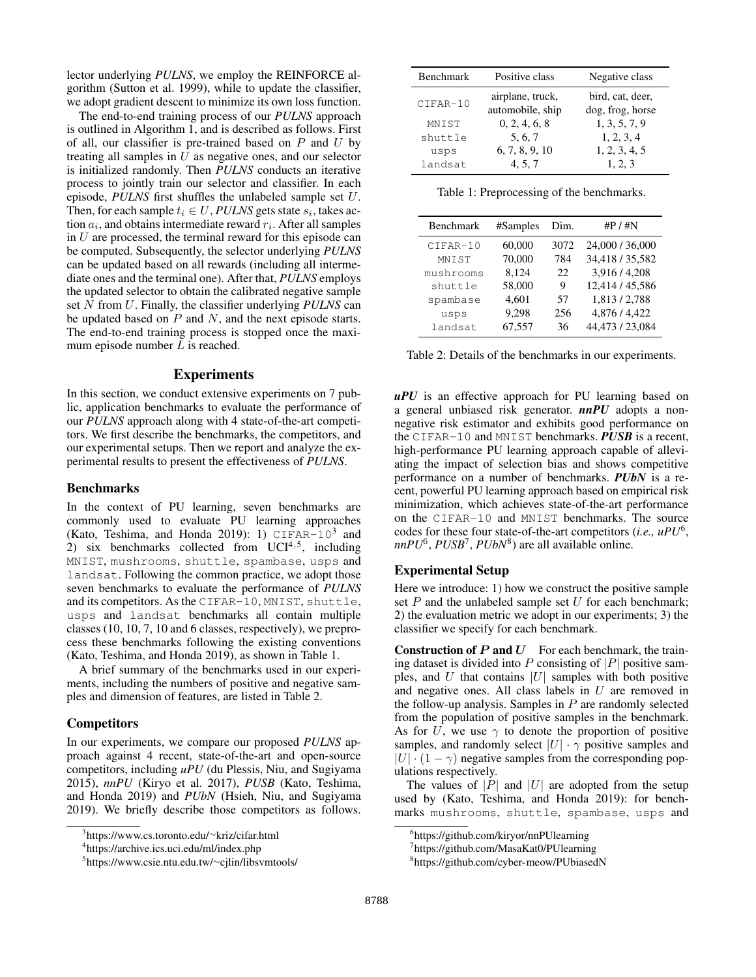lector underlying *PULNS*, we employ the REINFORCE algorithm (Sutton et al. 1999), while to update the classifier, we adopt gradient descent to minimize its own loss function.

The end-to-end training process of our *PULNS* approach is outlined in Algorithm 1, and is described as follows. First of all, our classifier is pre-trained based on  $P$  and  $U$  by treating all samples in  $U$  as negative ones, and our selector is initialized randomly. Then *PULNS* conducts an iterative process to jointly train our selector and classifier. In each episode, *PULNS* first shuffles the unlabeled sample set U. Then, for each sample  $t_i \in U$ , *PULNS* gets state  $s_i$ , takes action  $a_i$ , and obtains intermediate reward  $r_i$ . After all samples in  $U$  are processed, the terminal reward for this episode can be computed. Subsequently, the selector underlying *PULNS* can be updated based on all rewards (including all intermediate ones and the terminal one). After that, *PULNS* employs the updated selector to obtain the calibrated negative sample set N from U. Finally, the classifier underlying *PULNS* can be updated based on  $P$  and  $N$ , and the next episode starts. The end-to-end training process is stopped once the maximum episode number L is reached.

## **Experiments**

In this section, we conduct extensive experiments on 7 public, application benchmarks to evaluate the performance of our *PULNS* approach along with 4 state-of-the-art competitors. We first describe the benchmarks, the competitors, and our experimental setups. Then we report and analyze the experimental results to present the effectiveness of *PULNS*.

#### Benchmarks

In the context of PU learning, seven benchmarks are commonly used to evaluate PU learning approaches (Kato, Teshima, and Honda 2019): 1)  $CIFAR-10^3$  and 2) six benchmarks collected from  $UCI<sup>4,5</sup>$ , including MNIST, mushrooms, shuttle, spambase, usps and landsat. Following the common practice, we adopt those seven benchmarks to evaluate the performance of *PULNS* and its competitors. As the CIFAR-10, MNIST, shuttle, usps and landsat benchmarks all contain multiple classes (10, 10, 7, 10 and 6 classes, respectively), we preprocess these benchmarks following the existing conventions (Kato, Teshima, and Honda 2019), as shown in Table 1.

A brief summary of the benchmarks used in our experiments, including the numbers of positive and negative samples and dimension of features, are listed in Table 2.

## **Competitors**

In our experiments, we compare our proposed *PULNS* approach against 4 recent, state-of-the-art and open-source competitors, including *uPU* (du Plessis, Niu, and Sugiyama 2015), *nnPU* (Kiryo et al. 2017), *PUSB* (Kato, Teshima, and Honda 2019) and *PUbN* (Hsieh, Niu, and Sugiyama 2019). We briefly describe those competitors as follows.

| <b>Benchmark</b> | Positive class                       | Negative class                       |
|------------------|--------------------------------------|--------------------------------------|
| CIFAR-10         | airplane, truck,<br>automobile, ship | bird, cat, deer,<br>dog, frog, horse |
| MNTST            | 0, 2, 4, 6, 8                        | 1, 3, 5, 7, 9                        |
| shuttle          | 5, 6, 7                              | 1, 2, 3, 4                           |
| usps             | 6, 7, 8, 9, 10                       | 1, 2, 3, 4, 5                        |
| landsat          | 4, 5, 7                              | 1, 2, 3                              |

Table 1: Preprocessing of the benchmarks.

| Benchmark | #Samples | Dim. | $\#P / \#N$     |
|-----------|----------|------|-----------------|
| CIFAR-10  | 60,000   | 3072 | 24,000 / 36,000 |
| MNIST     | 70,000   | 784  | 34,418 / 35,582 |
| mushrooms | 8,124    | 22   | 3,916/4,208     |
| shuttle   | 58,000   | 9    | 12,414 / 45,586 |
| spambase  | 4,601    | 57   | 1,813/2,788     |
| usps      | 9,298    | 256  | 4,876 / 4,422   |
| landsat   | 67,557   | 36   | 44,473 / 23,084 |

Table 2: Details of the benchmarks in our experiments.

*uPU* is an effective approach for PU learning based on a general unbiased risk generator. *nnPU* adopts a nonnegative risk estimator and exhibits good performance on the CIFAR-10 and MNIST benchmarks. *PUSB* is a recent, high-performance PU learning approach capable of alleviating the impact of selection bias and shows competitive performance on a number of benchmarks. *PUbN* is a recent, powerful PU learning approach based on empirical risk minimization, which achieves state-of-the-art performance on the CIFAR-10 and MNIST benchmarks. The source codes for these four state-of-the-art competitors (*i.e., uPU*<sup>6</sup> , *nnPU*<sup>6</sup> , *PUSB*<sup>7</sup> , *PUbN*<sup>8</sup> ) are all available online.

# Experimental Setup

Here we introduce: 1) how we construct the positive sample set  $P$  and the unlabeled sample set  $U$  for each benchmark; 2) the evaluation metric we adopt in our experiments; 3) the classifier we specify for each benchmark.

Construction of  $P$  and  $U$  For each benchmark, the training dataset is divided into P consisting of |P| positive samples, and  $U$  that contains  $|U|$  samples with both positive and negative ones. All class labels in U are removed in the follow-up analysis. Samples in  $P$  are randomly selected from the population of positive samples in the benchmark. As for U, we use  $\gamma$  to denote the proportion of positive samples, and randomly select  $|U| \cdot \gamma$  positive samples and  $|U| \cdot (1 - \gamma)$  negative samples from the corresponding populations respectively.

The values of |P| and |U| are adopted from the setup used by (Kato, Teshima, and Honda 2019): for benchmarks mushrooms, shuttle, spambase, usps and

<sup>3</sup> https://www.cs.toronto.edu/∼kriz/cifar.html

<sup>4</sup> https://archive.ics.uci.edu/ml/index.php

<sup>5</sup> https://www.csie.ntu.edu.tw/∼cjlin/libsvmtools/

<sup>6</sup> https://github.com/kiryor/nnPUlearning

<sup>7</sup> https://github.com/MasaKat0/PUlearning

<sup>8</sup> https://github.com/cyber-meow/PUbiasedN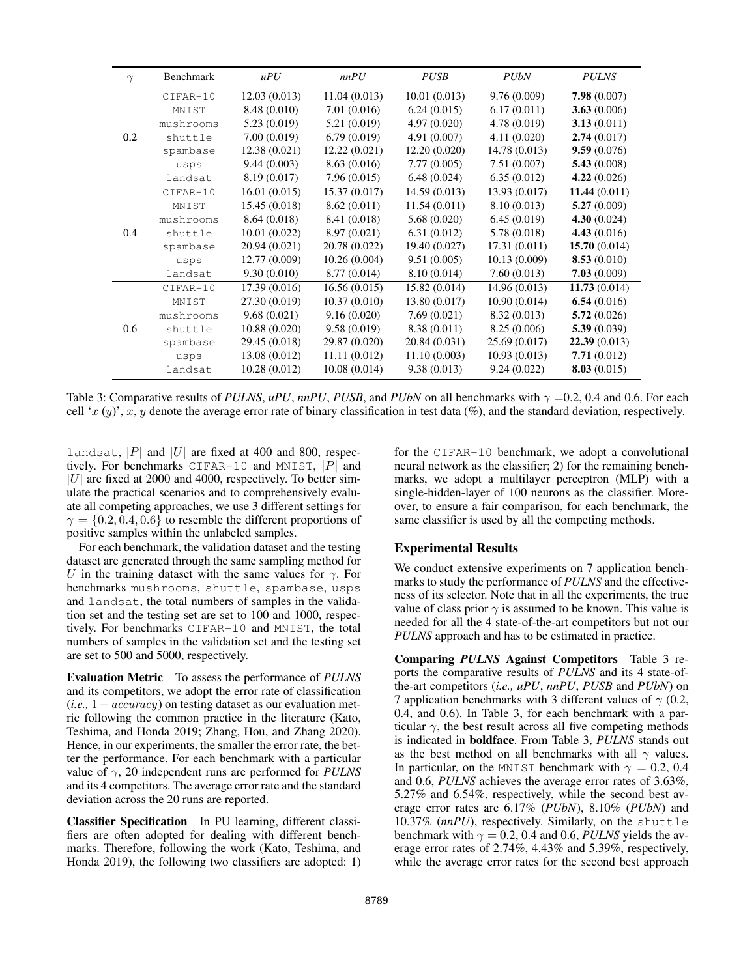| $\gamma$ | Benchmark | uPU           | nnPU          | <b>PUSB</b>   | <b>PUbN</b>   | <b>PULNS</b>   |
|----------|-----------|---------------|---------------|---------------|---------------|----------------|
|          | CIFAR-10  | 12.03(0.013)  | 11.04(0.013)  | 10.01(0.013)  | 9.76(0.009)   | 7.98(0.007)    |
|          | MNIST     | 8.48 (0.010)  | 7.01(0.016)   | 6.24(0.015)   | 6.17(0.011)   | 3.63(0.006)    |
|          | mushrooms | 5.23 (0.019)  | 5.21 (0.019)  | 4.97(0.020)   | 4.78 (0.019)  | 3.13(0.011)    |
| 0.2      | shuttle   | 7.00(0.019)   | 6.79(0.019)   | 4.91(0.007)   | 4.11(0.020)   | 2.74(0.017)    |
|          | spambase  | 12.38(0.021)  | 12.22(0.021)  | 12.20(0.020)  | 14.78 (0.013) | 9.59(0.076)    |
|          | usps      | 9.44(0.003)   | 8.63(0.016)   | 7.77(0.005)   | 7.51(0.007)   | 5.43(0.008)    |
|          | landsat   | 8.19 (0.017)  | 7.96(0.015)   | 6.48(0.024)   | 6.35(0.012)   | 4.22(0.026)    |
|          | CIFAR-10  | 16.01(0.015)  | 15.37(0.017)  | 14.59(0.013)  | 13.93 (0.017) | 11.44(0.011)   |
|          | MNIST     | 15.45 (0.018) | 8.62(0.011)   | 11.54(0.011)  | 8.10 (0.013)  | 5.27(0.009)    |
|          | mushrooms | 8.64(0.018)   | 8.41 (0.018)  | 5.68(0.020)   | 6.45(0.019)   | 4.30(0.024)    |
| 0.4      | shuttle   | 10.01(0.022)  | 8.97(0.021)   | 6.31(0.012)   | 5.78 (0.018)  | 4.43(0.016)    |
|          | spambase  | 20.94 (0.021) | 20.78 (0.022) | 19.40 (0.027) | 17.31(0.011)  | 15.70(0.014)   |
|          | usps      | 12.77 (0.009) | 10.26(0.004)  | 9.51(0.005)   | 10.13(0.009)  | 8.53(0.010)    |
|          | landsat   | 9.30(0.010)   | 8.77 (0.014)  | 8.10 (0.014)  | 7.60(0.013)   | 7.03(0.009)    |
|          | CIFAR-10  | 17.39(0.016)  | 16.56(0.015)  | 15.82 (0.014) | 14.96(0.013)  | 11.73(0.014)   |
|          | MNIST     | 27.30 (0.019) | 10.37(0.010)  | 13.80 (0.017) | 10.90(0.014)  | 6.54 $(0.016)$ |
|          | mushrooms | 9.68(0.021)   | 9.16(0.020)   | 7.69(0.021)   | 8.32 (0.013)  | 5.72 $(0.026)$ |
| 0.6      | shuttle   | 10.88(0.020)  | 9.58(0.019)   | 8.38 (0.011)  | 8.25(0.006)   | 5.39(0.039)    |
|          | spambase  | 29.45 (0.018) | 29.87 (0.020) | 20.84 (0.031) | 25.69 (0.017) | 22.39(0.013)   |
|          | usps      | 13.08 (0.012) | 11.11(0.012)  | 11.10(0.003)  | 10.93(0.013)  | 7.71(0.012)    |
|          | landsat   | 10.28(0.012)  | 10.08(0.014)  | 9.38(0.013)   | 9.24(0.022)   | 8.03(0.015)    |

Table 3: Comparative results of *PULNS*,  $uPU$ ,  $nnPU$ , *PUSB*, and *PUbN* on all benchmarks with  $\gamma = 0.2$ , 0.4 and 0.6. For each cell 'x  $(y)$ ', x, y denote the average error rate of binary classification in test data (%), and the standard deviation, respectively.

landsat, |P| and |U| are fixed at 400 and 800, respectively. For benchmarks CIFAR-10 and MNIST,  $|P|$  and  $|U|$  are fixed at 2000 and 4000, respectively. To better simulate the practical scenarios and to comprehensively evaluate all competing approaches, we use 3 different settings for  $\gamma = \{0.2, 0.4, 0.6\}$  to resemble the different proportions of positive samples within the unlabeled samples.

For each benchmark, the validation dataset and the testing dataset are generated through the same sampling method for U in the training dataset with the same values for  $\gamma$ . For benchmarks mushrooms, shuttle, spambase, usps and landsat, the total numbers of samples in the validation set and the testing set are set to 100 and 1000, respectively. For benchmarks CIFAR-10 and MNIST, the total numbers of samples in the validation set and the testing set are set to 500 and 5000, respectively.

Evaluation Metric To assess the performance of *PULNS* and its competitors, we adopt the error rate of classification (*i.e.,* 1−accuracy) on testing dataset as our evaluation metric following the common practice in the literature (Kato, Teshima, and Honda 2019; Zhang, Hou, and Zhang 2020). Hence, in our experiments, the smaller the error rate, the better the performance. For each benchmark with a particular value of γ, 20 independent runs are performed for *PULNS* and its 4 competitors. The average error rate and the standard deviation across the 20 runs are reported.

Classifier Specification In PU learning, different classifiers are often adopted for dealing with different benchmarks. Therefore, following the work (Kato, Teshima, and Honda 2019), the following two classifiers are adopted: 1)

for the CIFAR-10 benchmark, we adopt a convolutional neural network as the classifier; 2) for the remaining benchmarks, we adopt a multilayer perceptron (MLP) with a single-hidden-layer of 100 neurons as the classifier. Moreover, to ensure a fair comparison, for each benchmark, the same classifier is used by all the competing methods.

# Experimental Results

We conduct extensive experiments on 7 application benchmarks to study the performance of *PULNS* and the effectiveness of its selector. Note that in all the experiments, the true value of class prior  $\gamma$  is assumed to be known. This value is needed for all the 4 state-of-the-art competitors but not our *PULNS* approach and has to be estimated in practice.

Comparing *PULNS* Against Competitors Table 3 reports the comparative results of *PULNS* and its 4 state-ofthe-art competitors (*i.e., uPU*, *nnPU*, *PUSB* and *PUbN*) on 7 application benchmarks with 3 different values of  $\gamma$  (0.2, 0.4, and 0.6). In Table 3, for each benchmark with a particular  $\gamma$ , the best result across all five competing methods is indicated in boldface. From Table 3, *PULNS* stands out as the best method on all benchmarks with all  $\gamma$  values. In particular, on the MNIST benchmark with  $\gamma = 0.2, 0.4$ and 0.6, *PULNS* achieves the average error rates of 3.63%, 5.27% and 6.54%, respectively, while the second best average error rates are 6.17% (*PUbN*), 8.10% (*PUbN*) and 10.37% (*nnPU*), respectively. Similarly, on the shuttle benchmark with  $\gamma = 0.2$ , 0.4 and 0.6, *PULNS* yields the average error rates of 2.74%, 4.43% and 5.39%, respectively, while the average error rates for the second best approach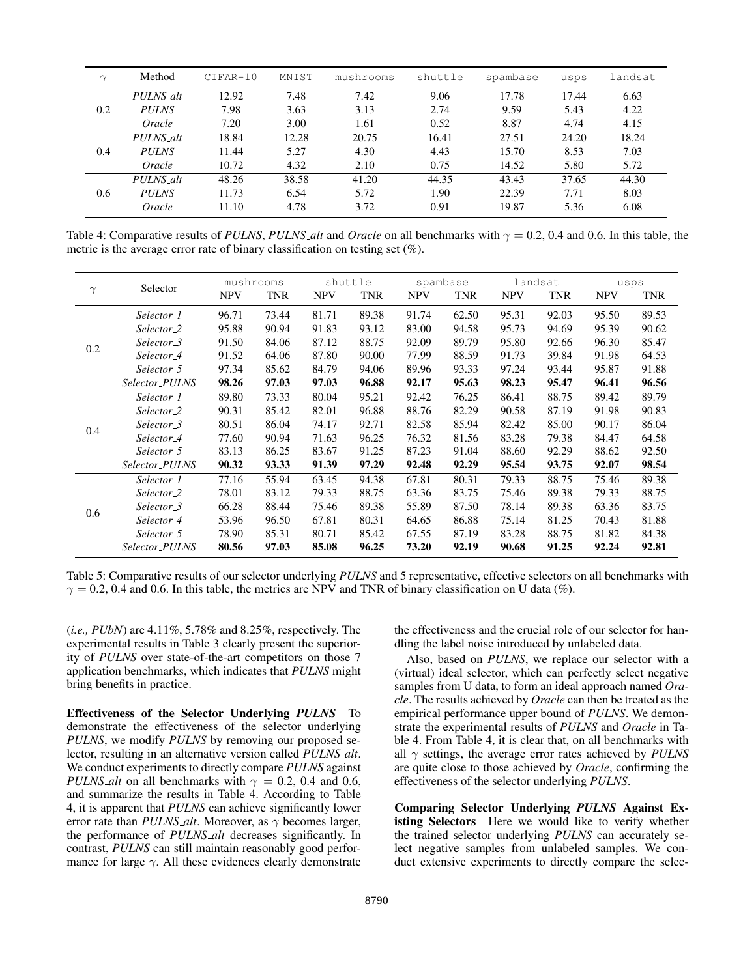| $\sim$ | Method       | $CIFAR-10$ | MNIST | mushrooms | shuttle | spambase | usps  | landsat |
|--------|--------------|------------|-------|-----------|---------|----------|-------|---------|
| 0.2    | PULNS_alt    | 12.92      | 7.48  | 7.42      | 9.06    | 17.78    | 17.44 | 6.63    |
|        | <b>PULNS</b> | 7.98       | 3.63  | 3.13      | 2.74    | 9.59     | 5.43  | 4.22    |
|        | Oracle       | 7.20       | 3.00  | 1.61      | 0.52    | 8.87     | 4.74  | 4.15    |
| 0.4    | PULNS_alt    | 18.84      | 12.28 | 20.75     | 16.41   | 27.51    | 24.20 | 18.24   |
|        | <b>PULNS</b> | 11.44      | 5.27  | 4.30      | 4.43    | 15.70    | 8.53  | 7.03    |
|        | Oracle       | 10.72      | 4.32  | 2.10      | 0.75    | 14.52    | 5.80  | 5.72    |
| 0.6    | PULNS_alt    | 48.26      | 38.58 | 41.20     | 44.35   | 43.43    | 37.65 | 44.30   |
|        | <b>PULNS</b> | 11.73      | 6.54  | 5.72      | 1.90    | 22.39    | 7.71  | 8.03    |
|        | Oracle       | 11.10      | 4.78  | 3.72      | 0.91    | 19.87    | 5.36  | 6.08    |

Table 4: Comparative results of *PULNS*, *PULNS alt* and *Oracle* on all benchmarks with  $\gamma = 0.2$ , 0.4 and 0.6. In this table, the metric is the average error rate of binary classification on testing set  $(\%)$ .

| $\gamma$ | Selector               | mushrooms  |            | shuttle    |            | spambase   |       | landsat    |            | usps       |            |
|----------|------------------------|------------|------------|------------|------------|------------|-------|------------|------------|------------|------------|
|          |                        | <b>NPV</b> | <b>TNR</b> | <b>NPV</b> | <b>TNR</b> | <b>NPV</b> | TNR   | <b>NPV</b> | <b>TNR</b> | <b>NPV</b> | <b>TNR</b> |
|          | Selector_1             | 96.71      | 73.44      | 81.71      | 89.38      | 91.74      | 62.50 | 95.31      | 92.03      | 95.50      | 89.53      |
|          | Selector <sub>-2</sub> | 95.88      | 90.94      | 91.83      | 93.12      | 83.00      | 94.58 | 95.73      | 94.69      | 95.39      | 90.62      |
| 0.2      | Selector_3             | 91.50      | 84.06      | 87.12      | 88.75      | 92.09      | 89.79 | 95.80      | 92.66      | 96.30      | 85.47      |
|          | Selector <sub>-4</sub> | 91.52      | 64.06      | 87.80      | 90.00      | 77.99      | 88.59 | 91.73      | 39.84      | 91.98      | 64.53      |
|          | Selector_5             | 97.34      | 85.62      | 84.79      | 94.06      | 89.96      | 93.33 | 97.24      | 93.44      | 95.87      | 91.88      |
|          | Selector_PULNS         | 98.26      | 97.03      | 97.03      | 96.88      | 92.17      | 95.63 | 98.23      | 95.47      | 96.41      | 96.56      |
|          | Selector_1             | 89.80      | 73.33      | 80.04      | 95.21      | 92.42      | 76.25 | 86.41      | 88.75      | 89.42      | 89.79      |
|          | Selector_2             | 90.31      | 85.42      | 82.01      | 96.88      | 88.76      | 82.29 | 90.58      | 87.19      | 91.98      | 90.83      |
|          | Selector_3             | 80.51      | 86.04      | 74.17      | 92.71      | 82.58      | 85.94 | 82.42      | 85.00      | 90.17      | 86.04      |
| 0.4      | Selector <sub>-4</sub> | 77.60      | 90.94      | 71.63      | 96.25      | 76.32      | 81.56 | 83.28      | 79.38      | 84.47      | 64.58      |
|          | Selector <sub>-5</sub> | 83.13      | 86.25      | 83.67      | 91.25      | 87.23      | 91.04 | 88.60      | 92.29      | 88.62      | 92.50      |
|          | Selector_PULNS         | 90.32      | 93.33      | 91.39      | 97.29      | 92.48      | 92.29 | 95.54      | 93.75      | 92.07      | 98.54      |
|          | Selector_1             | 77.16      | 55.94      | 63.45      | 94.38      | 67.81      | 80.31 | 79.33      | 88.75      | 75.46      | 89.38      |
|          | Selector <sub>-2</sub> | 78.01      | 83.12      | 79.33      | 88.75      | 63.36      | 83.75 | 75.46      | 89.38      | 79.33      | 88.75      |
|          | Selector_3             | 66.28      | 88.44      | 75.46      | 89.38      | 55.89      | 87.50 | 78.14      | 89.38      | 63.36      | 83.75      |
| 0.6      | Selector <sub>-4</sub> | 53.96      | 96.50      | 67.81      | 80.31      | 64.65      | 86.88 | 75.14      | 81.25      | 70.43      | 81.88      |
|          | Selector <sub>-5</sub> | 78.90      | 85.31      | 80.71      | 85.42      | 67.55      | 87.19 | 83.28      | 88.75      | 81.82      | 84.38      |
|          | Selector_PULNS         | 80.56      | 97.03      | 85.08      | 96.25      | 73.20      | 92.19 | 90.68      | 91.25      | 92.24      | 92.81      |

Table 5: Comparative results of our selector underlying *PULNS* and 5 representative, effective selectors on all benchmarks with  $\gamma = 0.2$ , 0.4 and 0.6. In this table, the metrics are NPV and TNR of binary classification on U data (%).

(*i.e., PUbN*) are 4.11%, 5.78% and 8.25%, respectively. The experimental results in Table 3 clearly present the superiority of *PULNS* over state-of-the-art competitors on those 7 application benchmarks, which indicates that *PULNS* might bring benefits in practice.

Effectiveness of the Selector Underlying *PULNS* To demonstrate the effectiveness of the selector underlying *PULNS*, we modify *PULNS* by removing our proposed selector, resulting in an alternative version called *PULNS alt*. We conduct experiments to directly compare *PULNS* against *PULNS\_alt* on all benchmarks with  $\gamma = 0.2$ , 0.4 and 0.6, and summarize the results in Table 4. According to Table 4, it is apparent that *PULNS* can achieve significantly lower error rate than *PULNS\_alt*. Moreover, as  $\gamma$  becomes larger, the performance of *PULNS alt* decreases significantly. In contrast, *PULNS* can still maintain reasonably good performance for large  $\gamma$ . All these evidences clearly demonstrate

the effectiveness and the crucial role of our selector for handling the label noise introduced by unlabeled data.

Also, based on *PULNS*, we replace our selector with a (virtual) ideal selector, which can perfectly select negative samples from U data, to form an ideal approach named *Oracle*. The results achieved by *Oracle* can then be treated as the empirical performance upper bound of *PULNS*. We demonstrate the experimental results of *PULNS* and *Oracle* in Table 4. From Table 4, it is clear that, on all benchmarks with all  $\gamma$  settings, the average error rates achieved by *PULNS* are quite close to those achieved by *Oracle*, confirming the effectiveness of the selector underlying *PULNS*.

Comparing Selector Underlying *PULNS* Against Existing Selectors Here we would like to verify whether the trained selector underlying *PULNS* can accurately select negative samples from unlabeled samples. We conduct extensive experiments to directly compare the selec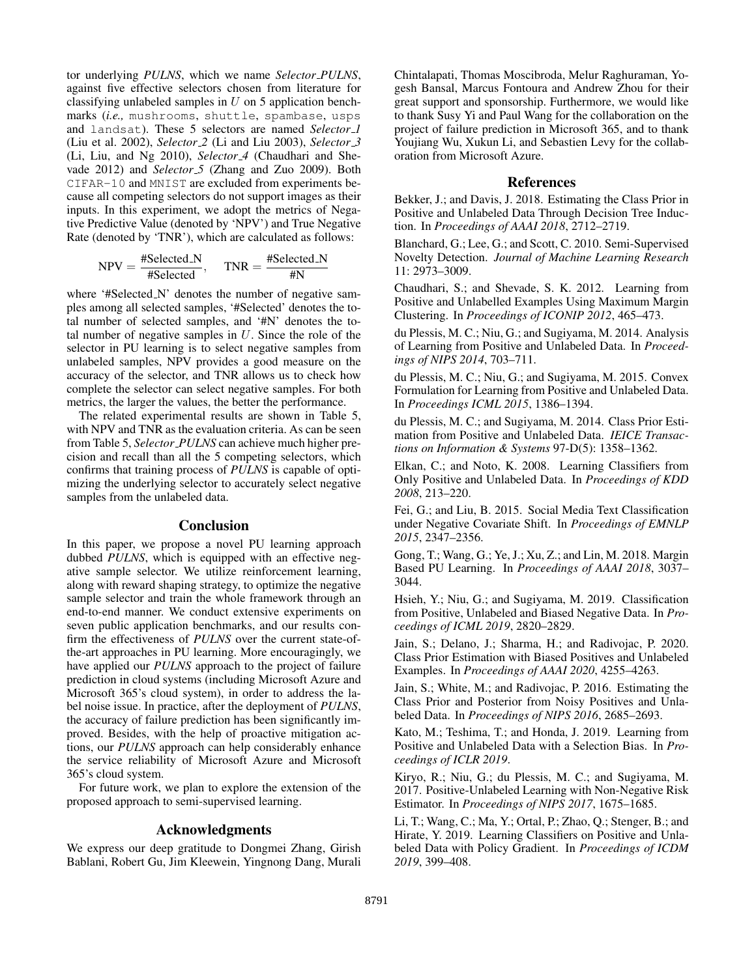tor underlying *PULNS*, which we name *Selector PULNS*, against five effective selectors chosen from literature for classifying unlabeled samples in  $U$  on 5 application benchmarks (*i.e.,* mushrooms, shuttle, spambase, usps and landsat). These 5 selectors are named *Selector 1* (Liu et al. 2002), *Selector 2* (Li and Liu 2003), *Selector 3* (Li, Liu, and Ng 2010), *Selector 4* (Chaudhari and Shevade 2012) and *Selector 5* (Zhang and Zuo 2009). Both CIFAR-10 and MNIST are excluded from experiments because all competing selectors do not support images as their inputs. In this experiment, we adopt the metrics of Negative Predictive Value (denoted by 'NPV') and True Negative Rate (denoted by 'TNR'), which are calculated as follows:

$$
NPV = \frac{\# \text{Selected } N}{\# \text{Selected}}, \quad \text{TNR} = \frac{\# \text{Selected } N}{\# N}
$$

where '#Selected\_N' denotes the number of negative samples among all selected samples, '#Selected' denotes the total number of selected samples, and '#N' denotes the total number of negative samples in  $U$ . Since the role of the selector in PU learning is to select negative samples from unlabeled samples, NPV provides a good measure on the accuracy of the selector, and TNR allows us to check how complete the selector can select negative samples. For both metrics, the larger the values, the better the performance.

The related experimental results are shown in Table 5, with NPV and TNR as the evaluation criteria. As can be seen from Table 5, *Selector PULNS* can achieve much higher precision and recall than all the 5 competing selectors, which confirms that training process of *PULNS* is capable of optimizing the underlying selector to accurately select negative samples from the unlabeled data.

#### Conclusion

In this paper, we propose a novel PU learning approach dubbed *PULNS*, which is equipped with an effective negative sample selector. We utilize reinforcement learning, along with reward shaping strategy, to optimize the negative sample selector and train the whole framework through an end-to-end manner. We conduct extensive experiments on seven public application benchmarks, and our results confirm the effectiveness of *PULNS* over the current state-ofthe-art approaches in PU learning. More encouragingly, we have applied our *PULNS* approach to the project of failure prediction in cloud systems (including Microsoft Azure and Microsoft 365's cloud system), in order to address the label noise issue. In practice, after the deployment of *PULNS*, the accuracy of failure prediction has been significantly improved. Besides, with the help of proactive mitigation actions, our *PULNS* approach can help considerably enhance the service reliability of Microsoft Azure and Microsoft 365's cloud system.

For future work, we plan to explore the extension of the proposed approach to semi-supervised learning.

## Acknowledgments

We express our deep gratitude to Dongmei Zhang, Girish Bablani, Robert Gu, Jim Kleewein, Yingnong Dang, Murali

Chintalapati, Thomas Moscibroda, Melur Raghuraman, Yogesh Bansal, Marcus Fontoura and Andrew Zhou for their great support and sponsorship. Furthermore, we would like to thank Susy Yi and Paul Wang for the collaboration on the project of failure prediction in Microsoft 365, and to thank Youjiang Wu, Xukun Li, and Sebastien Levy for the collaboration from Microsoft Azure.

# **References**

Bekker, J.; and Davis, J. 2018. Estimating the Class Prior in Positive and Unlabeled Data Through Decision Tree Induction. In *Proceedings of AAAI 2018*, 2712–2719.

Blanchard, G.; Lee, G.; and Scott, C. 2010. Semi-Supervised Novelty Detection. *Journal of Machine Learning Research* 11: 2973–3009.

Chaudhari, S.; and Shevade, S. K. 2012. Learning from Positive and Unlabelled Examples Using Maximum Margin Clustering. In *Proceedings of ICONIP 2012*, 465–473.

du Plessis, M. C.; Niu, G.; and Sugiyama, M. 2014. Analysis of Learning from Positive and Unlabeled Data. In *Proceedings of NIPS 2014*, 703–711.

du Plessis, M. C.; Niu, G.; and Sugiyama, M. 2015. Convex Formulation for Learning from Positive and Unlabeled Data. In *Proceedings ICML 2015*, 1386–1394.

du Plessis, M. C.; and Sugiyama, M. 2014. Class Prior Estimation from Positive and Unlabeled Data. *IEICE Transactions on Information & Systems* 97-D(5): 1358–1362.

Elkan, C.; and Noto, K. 2008. Learning Classifiers from Only Positive and Unlabeled Data. In *Proceedings of KDD 2008*, 213–220.

Fei, G.; and Liu, B. 2015. Social Media Text Classification under Negative Covariate Shift. In *Proceedings of EMNLP 2015*, 2347–2356.

Gong, T.; Wang, G.; Ye, J.; Xu, Z.; and Lin, M. 2018. Margin Based PU Learning. In *Proceedings of AAAI 2018*, 3037– 3044.

Hsieh, Y.; Niu, G.; and Sugiyama, M. 2019. Classification from Positive, Unlabeled and Biased Negative Data. In *Proceedings of ICML 2019*, 2820–2829.

Jain, S.; Delano, J.; Sharma, H.; and Radivojac, P. 2020. Class Prior Estimation with Biased Positives and Unlabeled Examples. In *Proceedings of AAAI 2020*, 4255–4263.

Jain, S.; White, M.; and Radivojac, P. 2016. Estimating the Class Prior and Posterior from Noisy Positives and Unlabeled Data. In *Proceedings of NIPS 2016*, 2685–2693.

Kato, M.; Teshima, T.; and Honda, J. 2019. Learning from Positive and Unlabeled Data with a Selection Bias. In *Proceedings of ICLR 2019*.

Kiryo, R.; Niu, G.; du Plessis, M. C.; and Sugiyama, M. 2017. Positive-Unlabeled Learning with Non-Negative Risk Estimator. In *Proceedings of NIPS 2017*, 1675–1685.

Li, T.; Wang, C.; Ma, Y.; Ortal, P.; Zhao, Q.; Stenger, B.; and Hirate, Y. 2019. Learning Classifiers on Positive and Unlabeled Data with Policy Gradient. In *Proceedings of ICDM 2019*, 399–408.